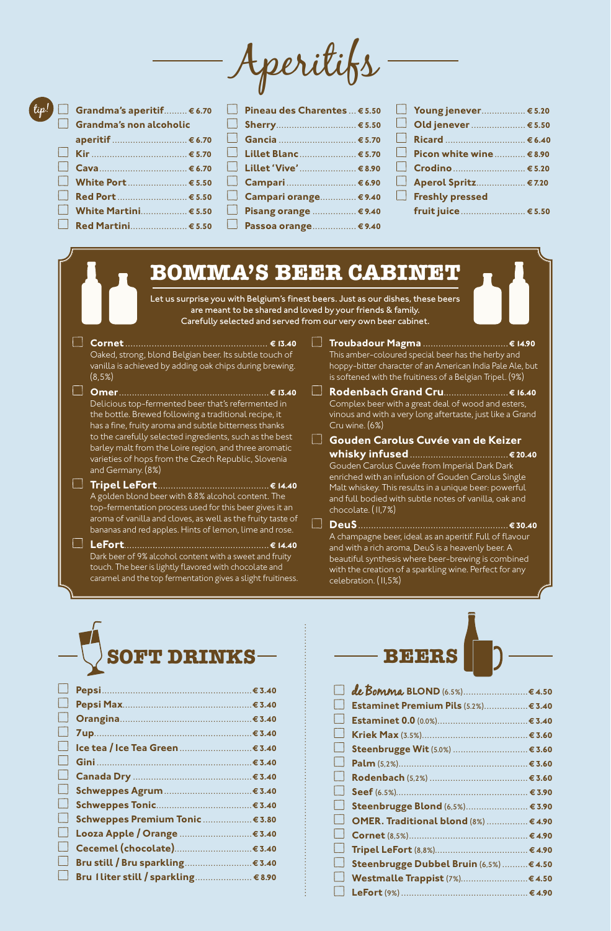Aperitifs



| Pineau des Charentes  € 5.50 |  |
|------------------------------|--|
|                              |  |
| Gancia  € 5.70               |  |
| ■ Lillet Blanc € 5.70        |  |
| □ Lillet 'Vive'  € 8.90      |  |
| □ Campari € 6.90             |  |
| □ Campari orange € 9.40      |  |
| ■ Pisang orange  € 9.40      |  |
| ■ Passoa orange € 9.40       |  |

| △ Young jenever € 5.20                           |  |
|--------------------------------------------------|--|
|                                                  |  |
| <u>Nicard Manuel 6.40</u>                        |  |
| $\Box$ Picon white wine $\ldots \ldots \in 8.90$ |  |
| $\Box$ Crodino                                   |  |
| △ Aperol Spritz € 7.20                           |  |
| Freshly pressed                                  |  |
| fruit juice  € 5.50                              |  |
|                                                  |  |

# **BOMMA'S BEER CABINET**

Let us surprise you with Belgium's finest beers. Just as our dishes, these beers are meant to be shared and loved by your friends & family. Carefully selected and served from our very own beer cabinet.

**Cornet ...................................................... ¤ 13.40** Oaked, strong, blond Belgian beer. Its subtle touch of vanilla is achieved by adding oak chips during brewing. (8,5%)

- **Omer .......................................................... ¤ 13.40** Delicious top-fermented beer that's refermented in the bottle. Brewed following a traditional recipe, it has a fine, fruity aroma and subtle bitterness thanks to the carefully selected ingredients, such as the best barley malt from the Loire region, and three aromatic varieties of hops from the Czech Republic, Slovenia and Germany. (8%)
- **Tripel LeFort........................................... ¤ 14.40** A golden blond beer with 8.8% alcohol content. The top-fermentation process used for this beer gives it an aroma of vanilla and cloves, as well as the fruity taste of bananas and red apples. Hints of lemon, lime and rose.

**LeFort........................................................ ¤ 14.40** Dark beer of 9% alcohol content with a sweet and fruity touch. The beer is lightly flavored with chocolate and caramel and the top fermentation gives a slight fruitiness.

- **Troubadour Magma ................................. ¤ 14.90** This amber-coloured special beer has the herby and hoppy-bitter character of an American India Pale Ale, but
- is softened with the fruitiness of a Belgian Tripel. (9%) **Rodenbach Grand Cru......................... ¤ 16.40** Complex beer with a great deal of wood and esters, vinous and with a very long aftertaste, just like a Grand Cru wine. (6%)
- **Gouden Carolus Cuvée van de Keizer whisky infused...................................... ¤ 20.40** Gouden Carolus Cuvée from Imperial Dark Dark enriched with an infusion of Gouden Carolus Single Malt whiskey. This results in a unique beer: powerful and full bodied with subtle notes of vanilla, oak and chocolate. (11,7%) **DeuS .......................................................... ¤ 30.40**

A champagne beer, ideal as an aperitif. Full of flavour and with a rich aroma, DeuS is a heavenly beer. A beautiful synthesis where beer-brewing is combined with the creation of a sparkling wine. Perfect for any celebration. (11,5%)



| $\Box$ |                                      |  |
|--------|--------------------------------------|--|
| $\Box$ |                                      |  |
| $\Box$ |                                      |  |
| $\Box$ |                                      |  |
| $\Box$ |                                      |  |
| Ιł     |                                      |  |
| $\Box$ |                                      |  |
| ∐      |                                      |  |
| $\Box$ |                                      |  |
| $\Box$ | Schweppes Premium Tonic  € 3.80      |  |
| $\Box$ | Looza Apple / Orange  € 3.40         |  |
| Ιł     |                                      |  |
| $\Box$ |                                      |  |
| Н      | Bru I liter still / sparkling € 8.90 |  |
|        |                                      |  |



| de Bomma BLOND (6.5%)€4.50<br>Estaminet Premium Pils (5.2%)€ 3.40<br>Steenbrugge Blond (6,5%) € 3.90<br>OMER. Traditional blond (8%)  € 4.90<br>Steenbrugge Dubbel Bruin (6,5%)  € 4.50 |
|-----------------------------------------------------------------------------------------------------------------------------------------------------------------------------------------|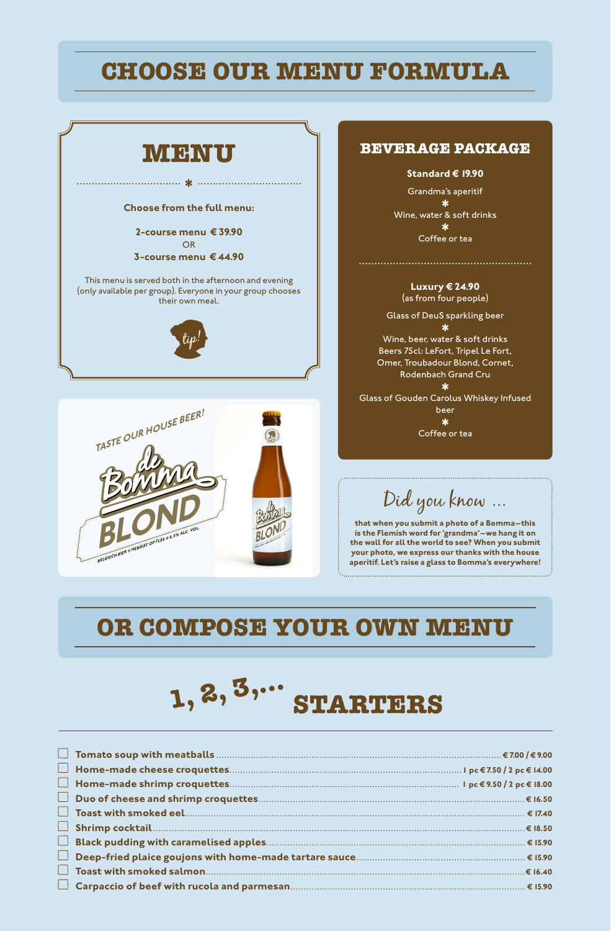# **CHOOSE OUR MENU FORMULA**





### **BEVERAGE PACKAGE**

**Standard € 19.90** 

Grandma's aperitif  $\star$ 

Wine, water & soft drinks

Coffee or tea

**Luxury ¤ 24.90**  (as from four people)

Glass of DeuS sparkling beer ∗

Wine, beer, water & soft drinks Beers 75cl: LeFort, Tripel Le Fort, Omer, Troubadour Blond, Cornet, Rodenbach Grand Cru  $\ast$ 

Glass of Gouden Carolus Whiskey Infused beer  $*$ Coffee or tea

Did you know ...

**that when you submit a photo of a Bomma—this is the Flemish word for 'grandma'—we hang it on the wall for all the world to see? When you submit your photo, we express our thanks with the house aperitif. Let's raise a glass to Bomma's everywhere!**

# **OR COMPOSE YOUR OWN MENU**

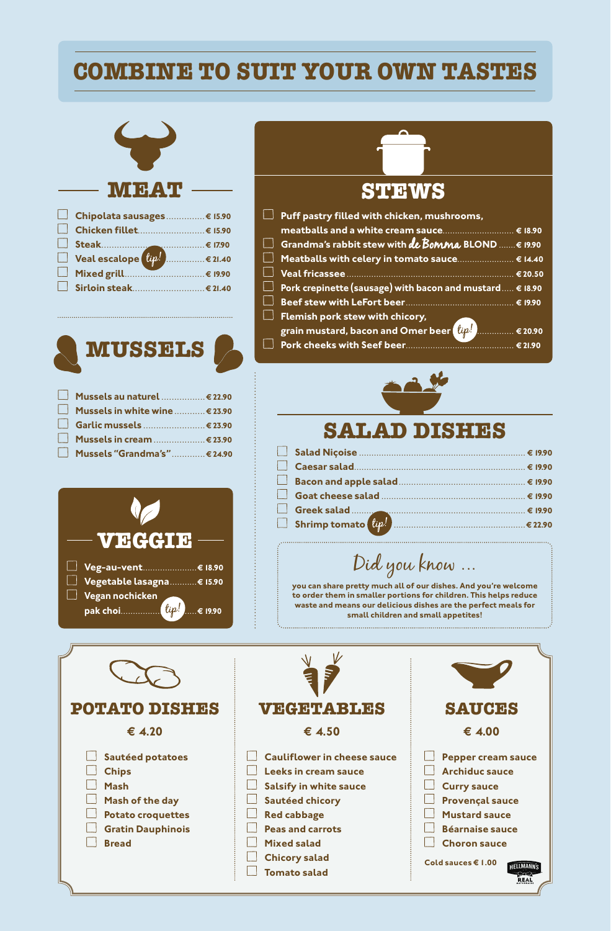# **COMBINE TO SUIT YOUR OWN TASTES**



| □ Chipolata sausages € 15.90 |  |
|------------------------------|--|
|                              |  |
|                              |  |
|                              |  |
|                              |  |
|                              |  |



| Mussels au naturel  € 22.90      |  |
|----------------------------------|--|
| ■ Mussels in white wine  € 23.90 |  |
| <b>Garlic mussels  € 23.90</b>   |  |
| ■ Mussels in cream  € 23.90      |  |
| Mussels "Grandma's"  € 24.90     |  |



# **STEWS**

| $\mathsf I$ Puff pastry filled with chicken, mushrooms,                     |  |
|-----------------------------------------------------------------------------|--|
| meatballs and a white cream sauce € 18.90                                   |  |
| $\Box$ Grandma's rabbit stew with de Bomma BLOND $\epsilon$ 19.90           |  |
| □ Meatballs with celery in tomato sauce € 14.40                             |  |
|                                                                             |  |
| <b>L</b> Pork crepinette (sausage) with bacon and mustard $\dots \in 18.90$ |  |
|                                                                             |  |
| Flemish pork stew with chicory,                                             |  |
|                                                                             |  |
|                                                                             |  |
|                                                                             |  |



| $\Box$ Shrimp tomato $\left(\text{tip}!\right)$ |  |
|-------------------------------------------------|--|

Did you know

**you can share pretty much all of our dishes. And you're welcome to order them in smaller portions for children. This helps reduce waste and means our delicious dishes are the perfect meals for small children and small appetites!**

| <b>POTATO DISHES</b>     | <b>VEGETABLES</b>                  | <b>SAUCES</b>             |
|--------------------------|------------------------------------|---------------------------|
| € 4.20                   | € 4.50                             | € 4.00                    |
| Sautéed potatoes         | <b>Cauliflower in cheese sauce</b> | <b>Pepper cream sauce</b> |
| <b>Chips</b>             | <b>Leeks in cream sauce</b>        | <b>Archiduc sauce</b>     |
| <b>Mash</b>              | <b>Salsify in white sauce</b>      | <b>Curry sauce</b>        |
| Mash of the day          | <b>Sautéed chicory</b>             | <b>Provençal sauce</b>    |
| <b>Potato croquettes</b> | <b>Red cabbage</b>                 | <b>Mustard sauce</b>      |
| <b>Gratin Dauphinois</b> | <b>Peas and carrots</b>            | <b>Béarnaise sauce</b>    |
| <b>Bread</b>             | <b>Mixed salad</b>                 | <b>Choron sauce</b>       |
|                          | <b>Chicory salad</b>               | Cold sauces € 1.00        |
|                          | <b>Tomato salad</b>                |                           |
|                          |                                    |                           |